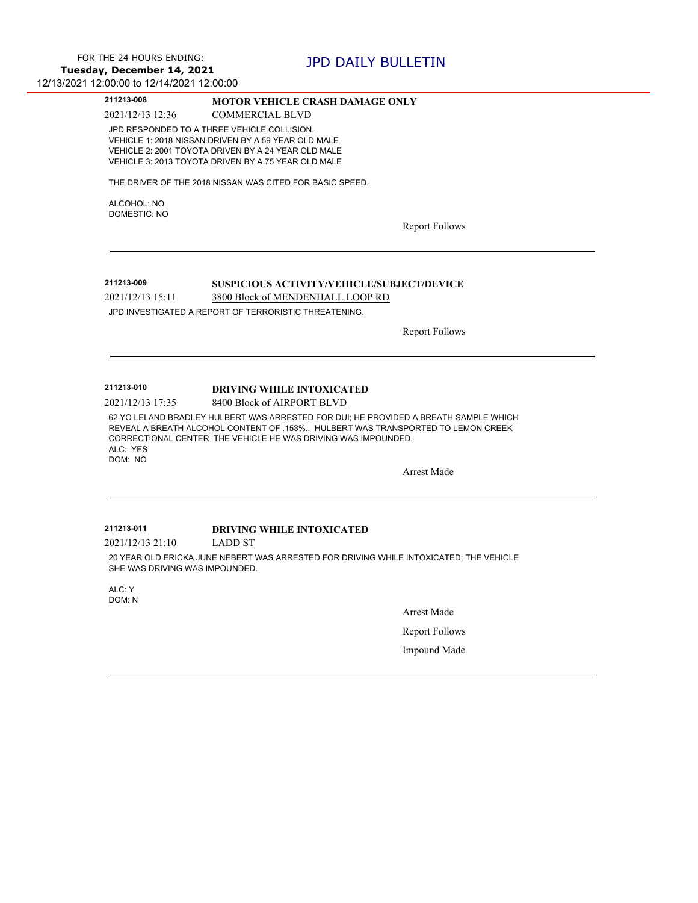| 211213-008        | <b>MOTOR VEHICLE CRASH DAMAGE ONLY</b>       |
|-------------------|----------------------------------------------|
| $0.0011101101000$ | $O(1.0$ $I_{\rm{DD}}$ $O(1.1)$ $I_{\rm{DD}}$ |

2021/12/13 12:36 COMMERCIAL BLVD

JPD RESPONDED TO A THREE VEHICLE COLLISION. VEHICLE 1: 2018 NISSAN DRIVEN BY A 59 YEAR OLD MALE VEHICLE 2: 2001 TOYOTA DRIVEN BY A 24 YEAR OLD MALE VEHICLE 3: 2013 TOYOTA DRIVEN BY A 75 YEAR OLD MALE

THE DRIVER OF THE 2018 NISSAN WAS CITED FOR BASIC SPEED.

ALCOHOL: NO DOMESTIC: NO

Report Follows

## **211213-009 SUSPICIOUS ACTIVITY/VEHICLE/SUBJECT/DEVICE**

2021/12/13 15:11 3800 Block of MENDENHALL LOOP RD

JPD INVESTIGATED A REPORT OF TERRORISTIC THREATENING.

Report Follows

# **211213-010 DRIVING WHILE INTOXICATED**

2021/12/13 17:35 8400 Block of AIRPORT BLVD

62 YO LELAND BRADLEY HULBERT WAS ARRESTED FOR DUI; HE PROVIDED A BREATH SAMPLE WHICH REVEAL A BREATH ALCOHOL CONTENT OF .153%.. HULBERT WAS TRANSPORTED TO LEMON CREEK CORRECTIONAL CENTER THE VEHICLE HE WAS DRIVING WAS IMPOUNDED. ALC: YES DOM: NO

Arrest Made

### **211213-011 DRIVING WHILE INTOXICATED**

2021/12/13 21:10 LADD ST

20 YEAR OLD ERICKA JUNE NEBERT WAS ARRESTED FOR DRIVING WHILE INTOXICATED; THE VEHICLE SHE WAS DRIVING WAS IMPOUNDED.

ALC: Y DOM: N

Arrest Made

Report Follows

Impound Made